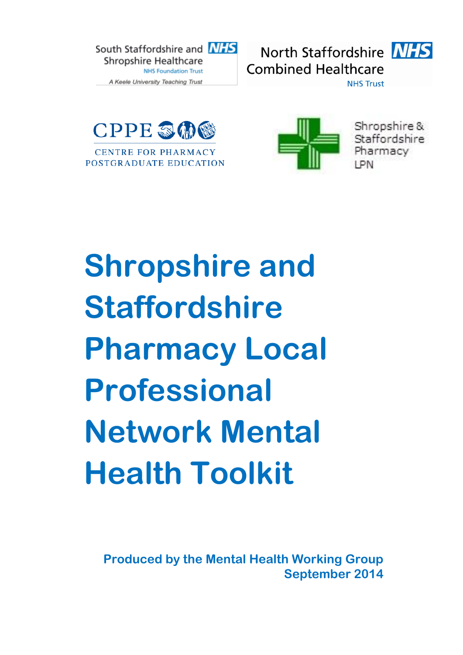







Shropshire & Staffordshire Pharmacy I PN

# **Shropshire and Staffordshire Pharmacy Local Professional Network Mental Health Toolkit**

**Produced by the Mental Health Working Group September 2014**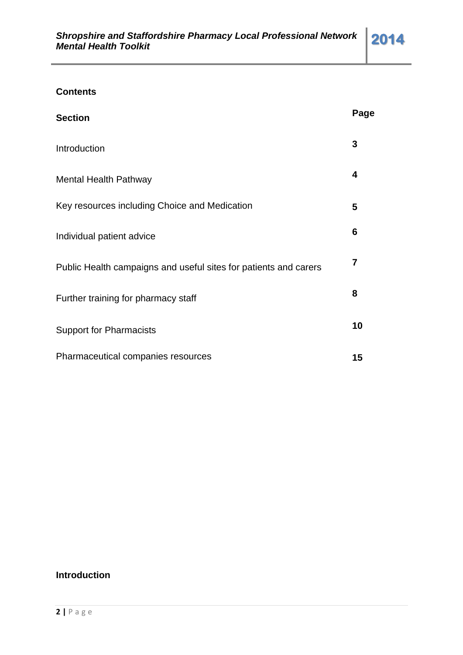# **Contents**

| <b>Section</b>                                                   | Page           |
|------------------------------------------------------------------|----------------|
| Introduction                                                     | 3              |
| <b>Mental Health Pathway</b>                                     | 4              |
| Key resources including Choice and Medication                    | 5              |
| Individual patient advice                                        | 6              |
| Public Health campaigns and useful sites for patients and carers | $\overline{7}$ |
| Further training for pharmacy staff                              | 8              |
| <b>Support for Pharmacists</b>                                   | 10             |
| Pharmaceutical companies resources                               | 15             |

# **Introduction**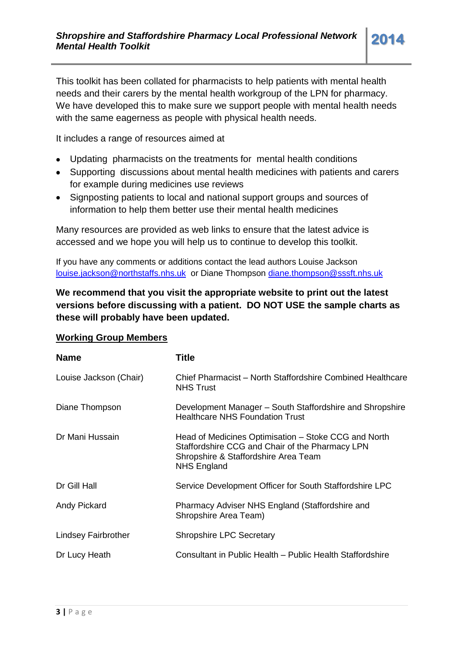This toolkit has been collated for pharmacists to help patients with mental health needs and their carers by the mental health workgroup of the LPN for pharmacy. We have developed this to make sure we support people with mental health needs with the same eagerness as people with physical health needs.

It includes a range of resources aimed at

- Updating pharmacists on the treatments for mental health conditions
- Supporting discussions about mental health medicines with patients and carers for example during medicines use reviews
- Signposting patients to local and national support groups and sources of information to help them better use their mental health medicines

Many resources are provided as web links to ensure that the latest advice is accessed and we hope you will help us to continue to develop this toolkit.

If you have any comments or additions contact the lead authors Louise Jackson [louise.jackson@northstaffs.nhs.uk](mailto:louise.jackson@northstaffs.nhs.uk) or Diane Thompson [diane.thompson@sssft.nhs.uk](mailto:diane.thompson@sssft.nhs.uk)

# **We recommend that you visit the appropriate website to print out the latest versions before discussing with a patient. DO NOT USE the sample charts as these will probably have been updated.**

| <b>Name</b>            | Title                                                                                                                                                                 |
|------------------------|-----------------------------------------------------------------------------------------------------------------------------------------------------------------------|
| Louise Jackson (Chair) | Chief Pharmacist – North Staffordshire Combined Healthcare<br><b>NHS Trust</b>                                                                                        |
| Diane Thompson         | Development Manager – South Staffordshire and Shropshire<br><b>Healthcare NHS Foundation Trust</b>                                                                    |
| Dr Mani Hussain        | Head of Medicines Optimisation – Stoke CCG and North<br>Staffordshire CCG and Chair of the Pharmacy LPN<br>Shropshire & Staffordshire Area Team<br><b>NHS England</b> |
| Dr Gill Hall           | Service Development Officer for South Staffordshire LPC                                                                                                               |
| Andy Pickard           | Pharmacy Adviser NHS England (Staffordshire and<br>Shropshire Area Team)                                                                                              |
| Lindsey Fairbrother    | <b>Shropshire LPC Secretary</b>                                                                                                                                       |
| Dr Lucy Heath          | Consultant in Public Health – Public Health Staffordshire                                                                                                             |

## **Working Group Members**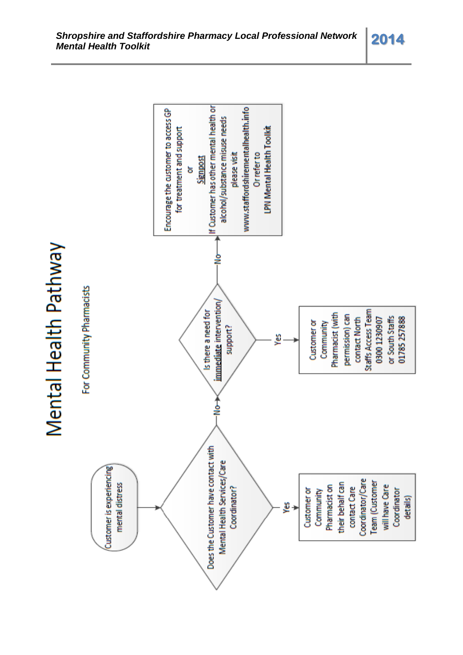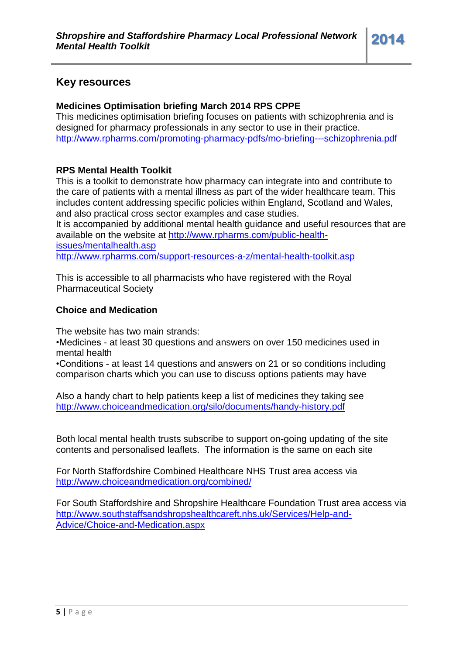# **Key resources**

# **Medicines Optimisation briefing March 2014 RPS CPPE**

This medicines optimisation briefing focuses on patients with schizophrenia and is designed for pharmacy professionals in any sector to use in their practice. <http://www.rpharms.com/promoting-pharmacy-pdfs/mo-briefing---schizophrenia.pdf>

#### **RPS Mental Health Toolkit**

This is a toolkit to demonstrate how pharmacy can integrate into and contribute to the care of patients with a mental illness as part of the wider healthcare team. This includes content addressing specific policies within England, Scotland and Wales, and also practical cross sector examples and case studies.

It is accompanied by additional mental health guidance and useful resources that are available on the website at [http://www.rpharms.com/public-health](http://www.rpharms.com/public-health-issues/mentalhealth.asp)[issues/mentalhealth.asp](http://www.rpharms.com/public-health-issues/mentalhealth.asp) <http://www.rpharms.com/support-resources-a-z/mental-health-toolkit.asp>

This is accessible to all pharmacists who have registered with the Royal Pharmaceutical Society

#### **Choice and Medication**

The website has two main strands:

•Medicines - at least 30 questions and answers on over 150 medicines used in mental health

•Conditions - at least 14 questions and answers on 21 or so conditions including comparison charts which you can use to discuss options patients may have

Also a handy chart to help patients keep a list of medicines they taking see <http://www.choiceandmedication.org/silo/documents/handy-history.pdf>

Both local mental health trusts subscribe to support on-going updating of the site contents and personalised leaflets. The information is the same on each site

For North Staffordshire Combined Healthcare NHS Trust area access via <http://www.choiceandmedication.org/combined/>

For South Staffordshire and Shropshire Healthcare Foundation Trust area access via [http://www.southstaffsandshropshealthcareft.nhs.uk/Services/Help-and-](http://www.southstaffsandshropshealthcareft.nhs.uk/Services/Help-and-Advice/Choice-and-Medication.aspx)[Advice/Choice-and-Medication.aspx](http://www.southstaffsandshropshealthcareft.nhs.uk/Services/Help-and-Advice/Choice-and-Medication.aspx)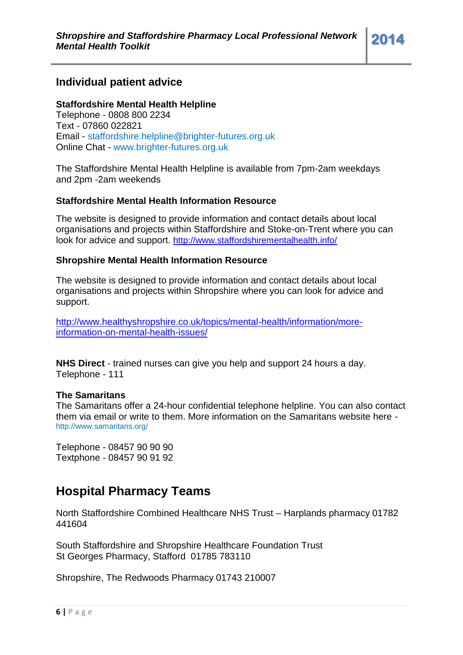# **Individual patient advice**

#### **Staffordshire Mental Health Helpline**

Telephone - 0808 800 2234 Text - 07860 022821 Email - [staffordshire.helpline@brighter-futures.org.uk](mailto:staffordshire.helpline@brighter-futures.org.uk) Online Chat - [www.brighter-futures.org.uk](http://www.brighter-futures.org.uk/)

The Staffordshire Mental Health Helpline is available from 7pm-2am weekdays and 2pm -2am weekends

#### **Staffordshire Mental Health Information Resource**

The website is designed to provide information and contact details about local organisations and projects within Staffordshire and Stoke-on-Trent where you can look for advice and support. <http://www.staffordshirementalhealth.info/>

#### **Shropshire Mental Health Information Resource**

The website is designed to provide information and contact details about local organisations and projects within Shropshire where you can look for advice and support.

[http://www.healthyshropshire.co.uk/topics/mental-health/information/more](http://www.healthyshropshire.co.uk/topics/mental-health/information/more-information-on-mental-health-issues/)[information-on-mental-health-issues/](http://www.healthyshropshire.co.uk/topics/mental-health/information/more-information-on-mental-health-issues/)

**NHS Direct** - trained nurses can give you help and support 24 hours a day. Telephone - 111

#### **The Samaritans**

The Samaritans offer a 24-hour confidential telephone helpline. You can also contact them via email or write to them. More information on the Samaritans website here <http://www.samaritans.org/>

Telephone - 08457 90 90 90 Textphone - 08457 90 91 92

# **Hospital Pharmacy Teams**

North Staffordshire Combined Healthcare NHS Trust – Harplands pharmacy 01782 441604

South Staffordshire and Shropshire Healthcare Foundation Trust St Georges Pharmacy, Stafford 01785 783110

Shropshire, The Redwoods Pharmacy 01743 210007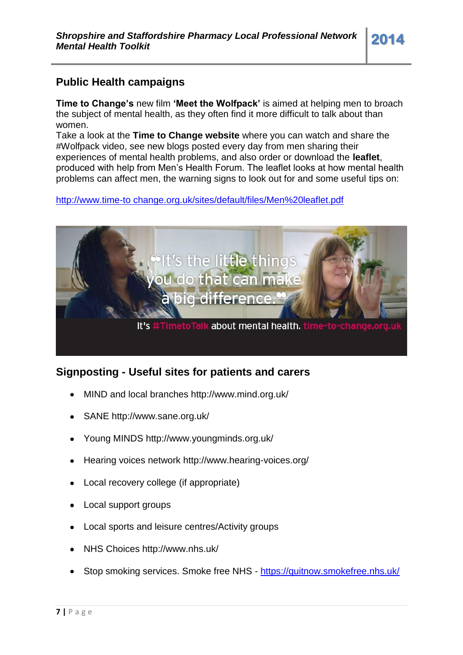# **Public Health campaigns**

**Time to Change's** new film **'Meet the Wolfpack'** is aimed at helping men to broach the subject of mental health, as they often find it more difficult to talk about than women.

Take a look at the **Time to Change website** where you can watch and share the #Wolfpack video, see new blogs posted every day from men sharing their experiences of mental health problems, and also order or download the **leaflet**, produced with help from Men's Health Forum. The leaflet looks at how mental health problems can affect men, the warning signs to look out for and some useful tips on:

http://www.time-to change.org.uk/sites/default/files/Men%20leaflet.pdf



# **Signposting - Useful sites for patients and carers**

- MIND and local branches http://www.mind.org.uk/
- SANE http://www.sane.org.uk/  $\bullet$
- Young MINDS http://www.youngminds.org.uk/
- Hearing voices network http://www.hearing-voices.org/  $\bullet$
- Local recovery college (if appropriate)
- Local support groups
- Local sports and leisure centres/Activity groups
- NHS Choices http://www.nhs.uk/
- Stop smoking services. Smoke free NHS <https://quitnow.smokefree.nhs.uk/>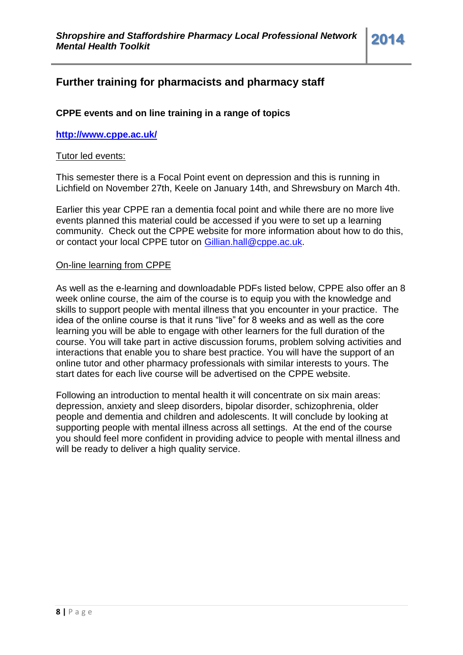# **Further training for pharmacists and pharmacy staff**

## **CPPE events and on line training in a range of topics**

#### **<http://www.cppe.ac.uk/>**

#### Tutor led events:

This semester there is a Focal Point event on depression and this is running in Lichfield on November 27th, Keele on January 14th, and Shrewsbury on March 4th.

Earlier this year CPPE ran a dementia focal point and while there are no more live events planned this material could be accessed if you were to set up a learning community. Check out the CPPE website for more information about how to do this, or contact your local CPPE tutor on [Gillian.hall@cppe.ac.uk.](mailto:Gillian.hall@cppe.ac.uk)

#### On-line learning from CPPE

As well as the e-learning and downloadable PDFs listed below, CPPE also offer an 8 week online course, the aim of the course is to equip you with the knowledge and skills to support people with mental illness that you encounter in your practice. The idea of the online course is that it runs "live" for 8 weeks and as well as the core learning you will be able to engage with other learners for the full duration of the course. You will take part in active discussion forums, problem solving activities and interactions that enable you to share best practice. You will have the support of an online tutor and other pharmacy professionals with similar interests to yours. The start dates for each live course will be advertised on the CPPE website.

Following an introduction to mental health it will concentrate on six main areas: depression, anxiety and sleep disorders, bipolar disorder, schizophrenia, older people and dementia and children and adolescents. It will conclude by looking at supporting people with mental illness across all settings. At the end of the course you should feel more confident in providing advice to people with mental illness and will be ready to deliver a high quality service.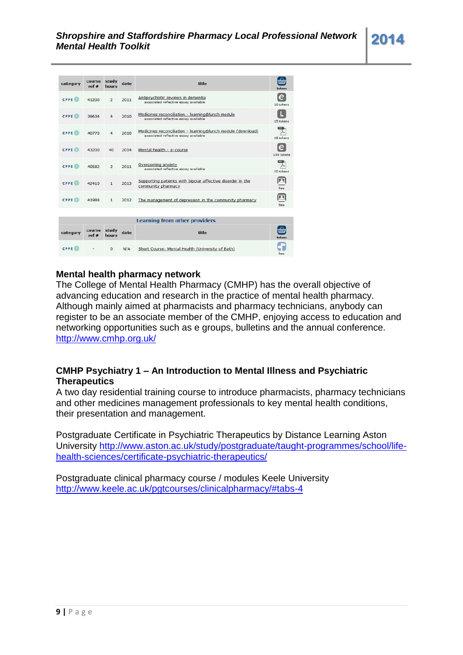| category    | course<br>ref # | study<br>hours | date | title                                                                                                | ଲ<br>tokens     |
|-------------|-----------------|----------------|------|------------------------------------------------------------------------------------------------------|-----------------|
| <b>CPPE</b> | 41200           | $\overline{2}$ | 2011 | Antipsychotic reviews in dementia<br>associated reflective essay available                           | e<br>10 tokens  |
| <b>CPPE</b> | 39634           | 4              | 2010 | Medicines reconciliation - learning@lunch module<br>associated reflective essay available            | 15 tokens       |
| <b>CPPE</b> | 40770           | 4              | 2010 | Medicines reconciliation - learning@lunch module (download)<br>associated reflective essay available | 15 tokens       |
| <b>CPPE</b> | 43200           | 40             | 2014 | Mental health - e-course                                                                             | e<br>150 tokens |
| <b>CPPE</b> | 40582           | $\overline{2}$ | 2011 | Overcoming anxiety<br>associated reflective essay available                                          | 10 tokens       |
| <b>CPPE</b> | 42410           | $\mathbf{1}$   | 2013 | Supporting patients with bipolar affective disorder in the<br>community pharmacy                     | free            |
| <b>CPPE</b> | 41988           | $\mathbf{1}$   | 2012 | The management of depression in the community pharmacy                                               |                 |
|             |                 |                |      | <b>Learning from other providers</b>                                                                 |                 |
| category    | course<br>ref#  | study<br>hours | date | title                                                                                                | tokens          |
| <b>CPPE</b> |                 | $\bf{0}$       | N/A  | Short Course: Mental Health (University of Bath)                                                     |                 |

#### **Mental health pharmacy network**

The College of Mental Health Pharmacy (CMHP) has the overall objective of advancing education and research in the practice of mental health pharmacy. Although mainly aimed at pharmacists and pharmacy technicians, anybody can register to be an associate member of the CMHP, enjoying access to education and networking opportunities such as e groups, bulletins and the annual conference. <http://www.cmhp.org.uk/>

## **CMHP Psychiatry 1 – An Introduction to Mental Illness and Psychiatric Therapeutics**

A two day residential training course to introduce pharmacists, pharmacy technicians and other medicines management professionals to key mental health conditions, their presentation and management.

Postgraduate Certificate in Psychiatric Therapeutics by Distance Learning Aston University [http://www.aston.ac.uk/study/postgraduate/taught-programmes/school/life](http://www.aston.ac.uk/study/postgraduate/taught-programmes/school/life-health-sciences/certificate-psychiatric-therapeutics/)[health-sciences/certificate-psychiatric-therapeutics/](http://www.aston.ac.uk/study/postgraduate/taught-programmes/school/life-health-sciences/certificate-psychiatric-therapeutics/)

Postgraduate clinical pharmacy course / modules Keele University <http://www.keele.ac.uk/pgtcourses/clinicalpharmacy/#tabs-4>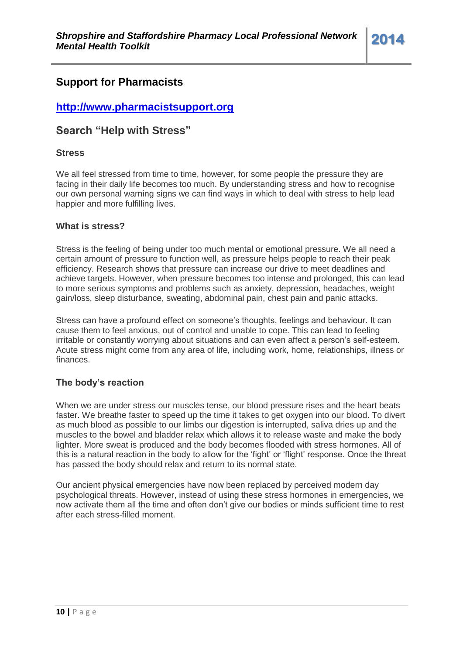# **Support for Pharmacists**

# **[http://www.pharmacistsupport.org](http://www.pharmacistsupport.org/)**

# **Search "Help with Stress"**

#### **Stress**

We all feel stressed from time to time, however, for some people the pressure they are facing in their daily life becomes too much. By understanding stress and how to recognise our own personal warning signs we can find ways in which to deal with stress to help lead happier and more fulfilling lives.

#### **What is stress?**

Stress is the feeling of being under too much mental or emotional pressure. We all need a certain amount of pressure to function well, as pressure helps people to reach their peak efficiency. Research shows that pressure can increase our drive to meet deadlines and achieve targets. However, when pressure becomes too intense and prolonged, this can lead to more serious symptoms and problems such as anxiety, depression, headaches, weight gain/loss, sleep disturbance, sweating, abdominal pain, chest pain and panic attacks.

Stress can have a profound effect on someone's thoughts, feelings and behaviour. It can cause them to feel anxious, out of control and unable to cope. This can lead to feeling irritable or constantly worrying about situations and can even affect a person's self-esteem. Acute stress might come from any area of life, including work, home, relationships, illness or finances.

#### **The body's reaction**

When we are under stress our muscles tense, our blood pressure rises and the heart beats faster. We breathe faster to speed up the time it takes to get oxygen into our blood. To divert as much blood as possible to our limbs our digestion is interrupted, saliva dries up and the muscles to the bowel and bladder relax which allows it to release waste and make the body lighter. More sweat is produced and the body becomes flooded with stress hormones. All of this is a natural reaction in the body to allow for the 'fight' or 'flight' response. Once the threat has passed the body should relax and return to its normal state.

Our ancient physical emergencies have now been replaced by perceived modern day psychological threats. However, instead of using these stress hormones in emergencies, we now activate them all the time and often don't give our bodies or minds sufficient time to rest after each stress-filled moment.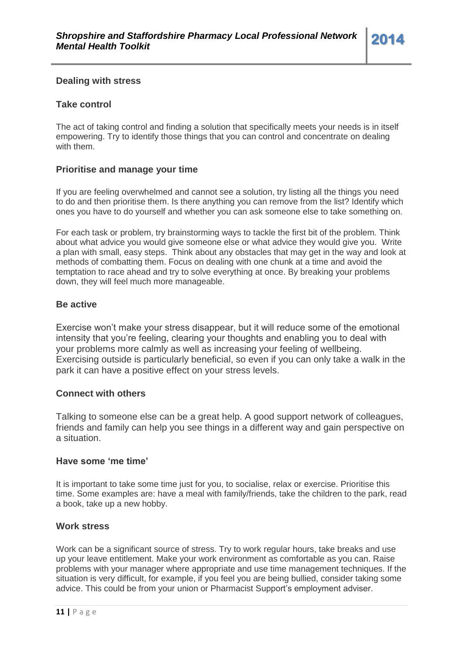#### **Dealing with stress**

#### **Take control**

The act of taking control and finding a solution that specifically meets your needs is in itself empowering. Try to identify those things that you can control and concentrate on dealing with them.

#### **Prioritise and manage your time**

If you are feeling overwhelmed and cannot see a solution, try listing all the things you need to do and then prioritise them. Is there anything you can remove from the list? Identify which ones you have to do yourself and whether you can ask someone else to take something on.

For each task or problem, try brainstorming ways to tackle the first bit of the problem. Think about what advice you would give someone else or what advice they would give you. Write a plan with small, easy steps. Think about any obstacles that may get in the way and look at methods of combatting them. Focus on dealing with one chunk at a time and avoid the temptation to race ahead and try to solve everything at once. By breaking your problems down, they will feel much more manageable.

#### **Be active**

Exercise won't make your stress disappear, but it will reduce some of the emotional intensity that you're feeling, clearing your thoughts and enabling you to deal with your problems more calmly as well as increasing your feeling of wellbeing. Exercising outside is particularly beneficial, so even if you can only take a walk in the park it can have a positive effect on your stress levels.

#### **Connect with others**

Talking to someone else can be a great help. A good support network of colleagues, friends and family can help you see things in a different way and gain perspective on a situation.

#### **Have some 'me time'**

It is important to take some time just for you, to socialise, relax or exercise. Prioritise this time. Some examples are: have a meal with family/friends, take the children to the park, read a book, take up a new hobby.

#### **Work stress**

Work can be a significant source of stress. Try to work regular hours, take breaks and use up your leave entitlement. Make your work environment as comfortable as you can. Raise problems with your manager where appropriate and use time management techniques. If the situation is very difficult, for example, if you feel you are being bullied, consider taking some advice. This could be from your union or Pharmacist Support's employment adviser.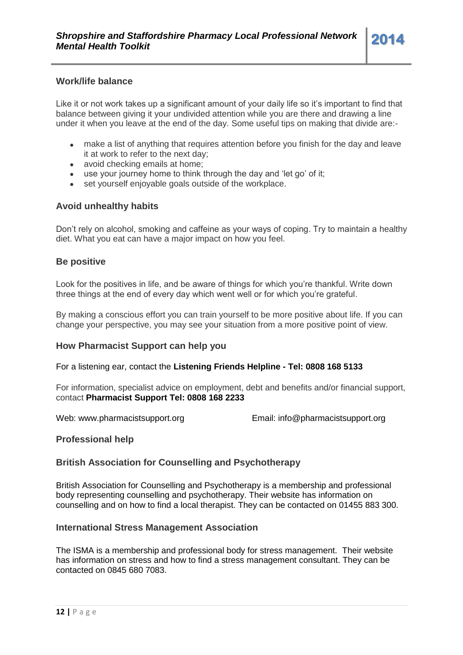Like it or not work takes up a significant amount of your daily life so it's important to find that balance between giving it your undivided attention while you are there and drawing a line under it when you leave at the end of the day. Some useful tips on making that divide are:-

- make a list of anything that requires attention before you finish for the day and leave  $\bullet$ it at work to refer to the next day;
- avoid checking emails at home;
- use your journey home to think through the day and 'let go' of it;
- set yourself enjoyable goals outside of the workplace.

#### **Avoid unhealthy habits**

Don't rely on alcohol, smoking and caffeine as your ways of coping. Try to maintain a healthy diet. What you eat can have a major impact on how you feel.

#### **Be positive**

Look for the positives in life, and be aware of things for which you're thankful. Write down three things at the end of every day which went well or for which you're grateful.

By making a conscious effort you can train yourself to be more positive about life. If you can change your perspective, you may see your situation from a more positive point of view.

#### **How Pharmacist Support can help you**

For a listening ear, contact the **[Listening Friends Helpline](http://www.pharmacistsupport.org/how-we-can-help/listening-friends/) - Tel: [0808 168 5133](tel:08081685133)**

For information, specialist advice on employment, debt and benefits and/or financial support, contact **Pharmacist Support Tel: [0808 168 2233](tel:08081682233)**

Web: [www.pharmacistsupport.org](http://www.pharmacistsupport.org/) Email: [info@pharmacistsupport.org](mailto:info@pharmacistsupport.org)

#### **Professional help**

#### **British Association for Counselling and Psychotherapy**

[British Association for Counselling and Psychotherapy](http://www.bacp.co.uk/about_bacp/contact_us.php) is a membership and professional body representing counselling and psychotherapy. Their website has information on counselling and on how to find a local therapist. They can be contacted on [01455 883 300.](tel:01455883300)

#### **International Stress Management Association**

The [ISMA](http://www.isma.org.uk/) is a membership and professional body for stress management. Their website has information on stress and how to find a stress management consultant. They can be contacted on [0845 680 7083.](tel:08456807083)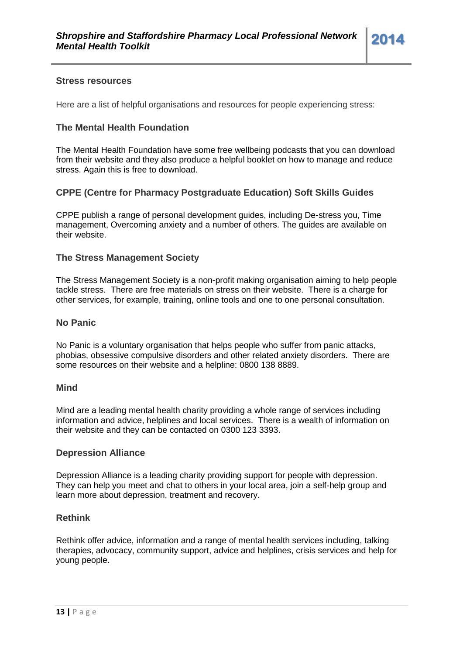#### **Stress resources**

Here are a list of helpful organisations and resources for people experiencing stress:

#### **The Mental Health Foundation**

The Mental Health Foundation have some free wellbeing podcasts that you can download from their [website](http://www.mentalhealth.org.uk/help-information/podcasts/) and they also produce a helpful booklet on how to manage and reduce stress. Again this is free to [download.](http://www.mentalhealth.org.uk/publications/how-to-stress/)

#### **CPPE (Centre for Pharmacy Postgraduate Education) Soft Skills Guides**

CPPE publish a range of personal development guides, including De-stress you, Time management, Overcoming anxiety and a number of others. The guides are available on their [website.](http://www.cppe.ac.uk/sp/sp1.asp?pid=145&ID=126)

#### **The Stress Management Society**

[The Stress Management Society](http://www.stress.org.uk/) is a non-profit making organisation aiming to help people tackle stress. There are free materials on stress on their website. There is a charge for other services, for example, training, online tools and one to one personal consultation.

#### **No Panic**

[No Panic](http://www.nopanic.org.uk/) is a voluntary organisation that helps people who suffer from panic attacks, phobias, obsessive compulsive disorders and other related anxiety disorders. There are some resources on their website and a helpline: [0800 138 8889.](tel:08001388889)

#### **Mind**

[Mind](http://www.mind.org.uk/) are a leading mental health charity providing a whole range of services including information and advice, helplines and local services. There is a wealth of information on their website and they can be contacted on [0300 123 3393.](tel:03001233393)

#### **Depression Alliance**

[Depression Alliance](http://www.depressionalliance.org/) is a leading charity providing support for people with depression. They can help you meet and chat to others in your local area, join a self-help group and learn more about depression, treatment and recovery.

#### **Rethink**

[Rethink](http://www.rethink.org/) offer advice, information and a range of mental health services including, talking therapies, advocacy, community support, advice and helplines, crisis services and help for young people.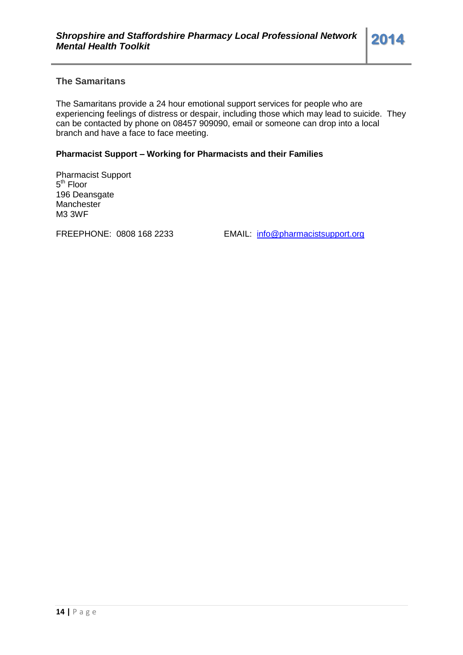[The Samaritans](http://www.samaritans.org/) provide a 24 hour emotional support services for people who are experiencing feelings of distress or despair, including those which may lead to suicide. They can be contacted by phone on [08457 909090,](tel:08457909090) email or someone can drop into a local branch and have a face to face meeting.

#### **Pharmacist Support – Working for Pharmacists and their Families**

Pharmacist Support 5<sup>th</sup> Floor 196 Deansgate **Manchester** M3 3WF

FREEPHONE: 0808 168 2233 EMAIL: [info@pharmacistsupport.org](mailto:info@pharmacistsupport.org)